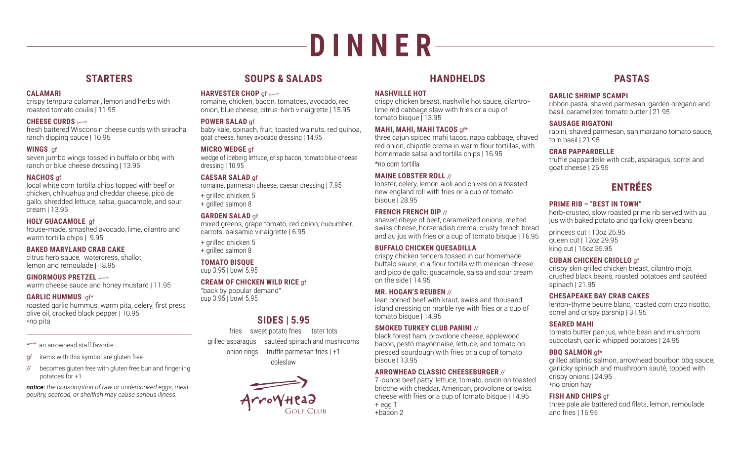# **D I N N E R**

# **STARTERS**

# **CALAMARI**

crispy tempura calamari, lemon and herbs with roasted tomato coulis | 11.95

# **CHEESE CURDS**

fresh battered Wisconsin cheese curds with sriracha ranch dipping sauce | 10.95

# **WINGS** gf

seven jumbo wings tossed in buffalo or bbq with ranch or blue cheese dressing | 13.95

# **NACHOS** gf

local white corn tortilla chips topped with beef or chicken, chihuahua and cheddar cheese, pico de gallo, shredded lettuce, salsa, guacamole, and sour cream | 13.95

# **HOLY GUACAMOLE** gf

house-made, smashed avocado, lime, cilantro and warm tortilla chips | 9.95

# **BAKED MARYLAND CRAB CAKE**

citrus herb sauce, watercress, shallot, lemon and remoulade | 18.95

# **GINORMOUS PRETZEL**

warm cheese sauce and honey mustard | 11.95

# **GARLIC HUMMUS** gf\*

roasted garlic hummus, warm pita, celery, first press olive oil, cracked black pepper | 10.95 \*no pita

# $\Rightarrow$  an arrowhead staff favorite

# gf items with this symbol are gluten free

// becomes gluten free with gluten free bun and fingerling potatoes for +1

*notice: the consumption of raw or undercooked eggs, meat, poultry, seafood, or shellfish may cause serious illness.*

# **SOUPS & SALADS**

## **HARVESTER CHOP** gf

romaine, chicken, bacon, tomatoes, avocado, red onion, blue cheese, citrus-herb vinaigrette | 15.95

# **POWER SALAD** gf

baby kale, spinach, fruit, toasted walnuts, red quinoa, goat cheese, honey avocado dressing | 14.95

# **MICRO WEDGE** gf

wedge of iceberg lettuce, crisp bacon, tomato blue cheese dressing | 10.95

# **CAESAR SALAD** gf

romaine, parmesan cheese, caesar dressing | 7.95

- + grilled chicken 5
- + grilled salmon 8

# **GARDEN SALAD** gf

mixed greens, grape tomato, red onion, cucumber, carrots, balsamic vinaigrette | 6.95

- + grilled chicken 5
- + grilled salmon 8

# **TOMATO BISQUE**

cup 3.95 | bowl 5.95

# **CREAM OF CHICKEN WILD RICE** gf

"back by popular demand" cup 3.95 | bowl 5.95

# **SIDES | 5.95**

fries sweet potato fries tater tots grilled asparagus sautéed spinach and mushrooms onion rings truffle parmesan fries | +1 coleslaw



# **HANDHELDS**

# **NASHVILLE HOT**

crispy chicken breast, nashville hot sauce, cilantrolime red cabbage slaw with fries or a cup of tomato bisque | 13.95

# **MAHI, MAHI, MAHI TACOS** gf\*

three cajun spiced mahi tacos, napa cabbage, shaved red onion, chipotle crema in warm flour tortillas, with homemade salsa and tortilla chips | 16.95 \*no corn tortilla

# **MAINE LOBSTER ROLL** //

lobster, celery, lemon aioli and chives on a toasted new england roll with fries or a cup of tomato bisque | 28.95

# **FRENCH FRENCH DIP** //

shaved ribeye of beef, caramelized onions, melted swiss cheese, horseradish crema, crusty french bread and au jus with fries or a cup of tomato bisque | 16.95

# **BUFFALO CHICKEN QUESADILLA**

crispy chicken tenders tossed in our homemade buffalo sauce, in a flour tortilla with mexican cheese and pico de gallo, guacamole, salsa and sour cream on the side | 14.95

# **MR. HOGAN'S REUBEN** //

lean corned beef with kraut, swiss and thousand island dressing on marble rye with fries or a cup of tomato bisque | 14.95

# **SMOKED TURKEY CLUB PANINI** //

black forest ham, provolone cheese, applewood bacon, pesto mayonnaise, lettuce, and tomato on pressed sourdough with fries or a cup of tomato bisque | 13.95

# **ARROWHEAD CLASSIC CHEESEBURGER** //

7-ounce beef patty, lettuce, tomato, onion on toasted brioche with cheddar, American, provolone or swiss cheese with fries or a cup of tomato bisque | 14.95 + egg 1

# +bacon 2

# **PASTAS**

# **GARLIC SHRIMP SCAMPI**

ribbon pasta, shaved parmesan, garden oregano and basil, caramelized tomato butter | 21.95

# **SAUSAGE RIGATONI**

rapini, shaved parmesan, san marzano tomato sauce, torn basil | 21.95

# **CRAB PAPPARDELLE**

truffle pappardelle with crab, asparagus, sorrel and goat cheese | 25.95

# **ENTRÉES**

# **PRIME RIB – "BEST IN TOWN"**

herb-crusted, slow roasted prime rib served with au jus with baked potato and garlicky green beans

princess cut | 10oz 26.95 queen cut | 12oz 29.95 king cut | 15oz 35.95

# **CUBAN CHICKEN CRIOLLO** gf

crispy skin grilled chicken breast, cilantro mojo, crushed black beans, roasted potatoes and sautéed spinach | 21.95

# **CHESAPEAKE BAY CRAB CAKES**

lemon-thyme beurre blanc, roasted corn orzo risotto, sorrel and crispy parsnip | 31.95

# **SEARED MAHI**

tomato butter pan jus, white bean and mushroom succotash, garlic whipped potatoes | 24.95

# **BBQ SALMON** gf\*

grilled atlantic salmon, arrowhead bourbon bbq sauce, garlicky spinach and mushroom sauté, topped with crispy onions | 24.95 \*no onion hay

# **FISH AND CHIPS** gf

three pale ale battered cod filets, lemon, remoulade and fries | 16.95